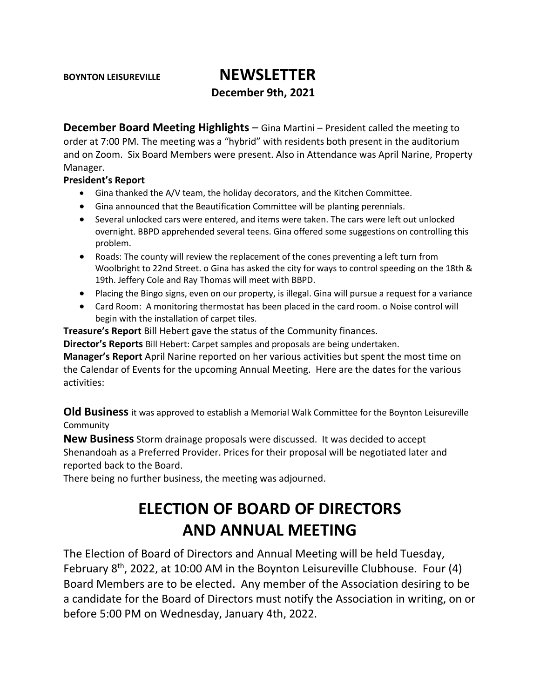## **BOYNTON LEISUREVILLE NEWSLETTER December 9th, 2021**

**December Board Meeting Highlights** – Gina Martini – President called the meeting to order at 7:00 PM. The meeting was a "hybrid" with residents both present in the auditorium and on Zoom. Six Board Members were present. Also in Attendance was April Narine, Property Manager.

## **President's Report**

- Gina thanked the A/V team, the holiday decorators, and the Kitchen Committee.
- Gina announced that the Beautification Committee will be planting perennials.
- Several unlocked cars were entered, and items were taken. The cars were left out unlocked overnight. BBPD apprehended several teens. Gina offered some suggestions on controlling this problem.
- Roads: The county will review the replacement of the cones preventing a left turn from Woolbright to 22nd Street. o Gina has asked the city for ways to control speeding on the 18th & 19th. Jeffery Cole and Ray Thomas will meet with BBPD.
- Placing the Bingo signs, even on our property, is illegal. Gina will pursue a request for a variance
- Card Room: A monitoring thermostat has been placed in the card room. o Noise control will begin with the installation of carpet tiles.

**Treasure's Report** Bill Hebert gave the status of the Community finances.

**Director's Reports** Bill Hebert: Carpet samples and proposals are being undertaken.

**Manager's Report** April Narine reported on her various activities but spent the most time on the Calendar of Events for the upcoming Annual Meeting. Here are the dates for the various activities:

**Old Business** it was approved to establish a Memorial Walk Committee for the Boynton Leisureville **Community** 

**New Business** Storm drainage proposals were discussed. It was decided to accept Shenandoah as a Preferred Provider. Prices for their proposal will be negotiated later and reported back to the Board.

There being no further business, the meeting was adjourned.

## **ELECTION OF BOARD OF DIRECTORS AND ANNUAL MEETING**

The Election of Board of Directors and Annual Meeting will be held Tuesday, February 8<sup>th</sup>, 2022, at 10:00 AM in the Boynton Leisureville Clubhouse. Four (4) Board Members are to be elected. Any member of the Association desiring to be a candidate for the Board of Directors must notify the Association in writing, on or before 5:00 PM on Wednesday, January 4th, 2022.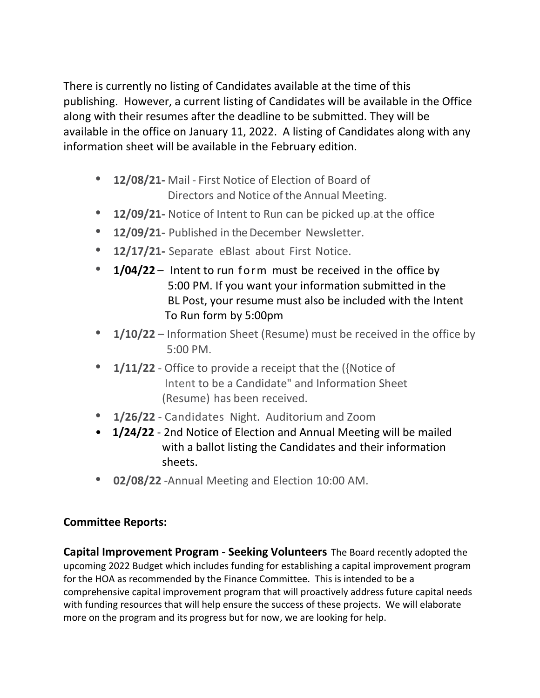There is currently no listing of Candidates available at the time of this publishing. However, a current listing of Candidates will be available in the Office along with their resumes after the deadline to be submitted. They will be available in the office on January 11, 2022. A listing of Candidates along with any information sheet will be available in the February edition.

- **12/08/21-** Mail First Notice of Election of Board of Directors and Notice of the Annual Meeting.
- **12/09/21-** Notice of Intent to Run can be picked up.at the office
- **12/09/21-** Published in the December Newsletter.
- **12/17/21-** Separate eBlast about First Notice.
- **1/04/22** Intent to run form must be received in the office by 5:00 PM. If you want your information submitted in the BL Post, your resume must also be included with the Intent To Run form by 5:00pm
- **1/10/22** Information Sheet (Resume) must be received in the office by 5:00 PM.
- **1/11/22** Office to provide a receipt that the ({Notice of Intent to be a Candidate" and Information Sheet (Resume) has been received.
- **1/26/22** Candidates Night. Auditorium and Zoom
- **1/24/22** 2nd Notice of Election and Annual Meeting will be mailed with a ballot listing the Candidates and their information sheets.
- **02/08/22** -Annual Meeting and Election 10:00 AM.

## **Committee Reports:**

**Capital Improvement Program - Seeking Volunteers** The Board recently adopted the upcoming 2022 Budget which includes funding for establishing a capital improvement program for the HOA as recommended by the Finance Committee. This is intended to be a comprehensive capital improvement program that will proactively address future capital needs with funding resources that will help ensure the success of these projects. We will elaborate more on the program and its progress but for now, we are looking for help.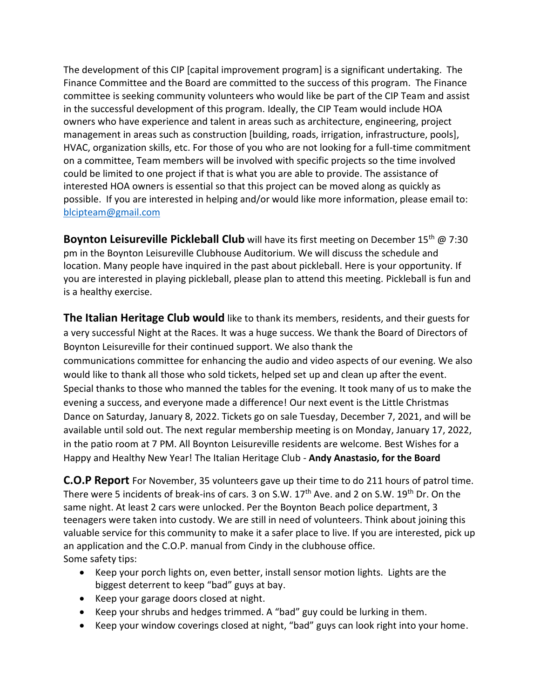The development of this CIP [capital improvement program] is a significant undertaking. The Finance Committee and the Board are committed to the success of this program. The Finance committee is seeking community volunteers who would like be part of the CIP Team and assist in the successful development of this program. Ideally, the CIP Team would include HOA owners who have experience and talent in areas such as architecture, engineering, project management in areas such as construction [building, roads, irrigation, infrastructure, pools], HVAC, organization skills, etc. For those of you who are not looking for a full-time commitment on a committee, Team members will be involved with specific projects so the time involved could be limited to one project if that is what you are able to provide. The assistance of interested HOA owners is essential so that this project can be moved along as quickly as possible. If you are interested in helping and/or would like more information, please email to: [blcipteam@gmail.com](mailto:blcipteam@gmail.com)

**Boynton Leisureville Pickleball Club** will have its first meeting on December 15<sup>th</sup> @ 7:30 pm in the Boynton Leisureville Clubhouse Auditorium. We will discuss the schedule and location. Many people have inquired in the past about pickleball. Here is your opportunity. If you are interested in playing pickleball, please plan to attend this meeting. Pickleball is fun and is a healthy exercise.

**The Italian Heritage Club would** like to thank its members, residents, and their guests for a very successful Night at the Races. It was a huge success. We thank the Board of Directors of Boynton Leisureville for their continued support. We also thank the communications committee for enhancing the audio and video aspects of our evening. We also would like to thank all those who sold tickets, helped set up and clean up after the event. Special thanks to those who manned the tables for the evening. It took many of us to make the evening a success, and everyone made a difference! Our next event is the Little Christmas Dance on Saturday, January 8, 2022. Tickets go on sale Tuesday, December 7, 2021, and will be available until sold out. The next regular membership meeting is on Monday, January 17, 2022, in the patio room at 7 PM. All Boynton Leisureville residents are welcome. Best Wishes for a Happy and Healthy New Year! The Italian Heritage Club - **Andy Anastasio, for the Board**

**C.O.P Report** For November, 35 volunteers gave up their time to do 211 hours of patrol time. There were 5 incidents of break-ins of cars. 3 on S.W. 17<sup>th</sup> Ave. and 2 on S.W. 19<sup>th</sup> Dr. On the same night. At least 2 cars were unlocked. Per the Boynton Beach police department, 3 teenagers were taken into custody. We are still in need of volunteers. Think about joining this valuable service for this community to make it a safer place to live. If you are interested, pick up an application and the C.O.P. manual from Cindy in the clubhouse office. Some safety tips:

- Keep your porch lights on, even better, install sensor motion lights. Lights are the biggest deterrent to keep "bad" guys at bay.
- Keep your garage doors closed at night.
- Keep your shrubs and hedges trimmed. A "bad" guy could be lurking in them.
- Keep your window coverings closed at night, "bad" guys can look right into your home.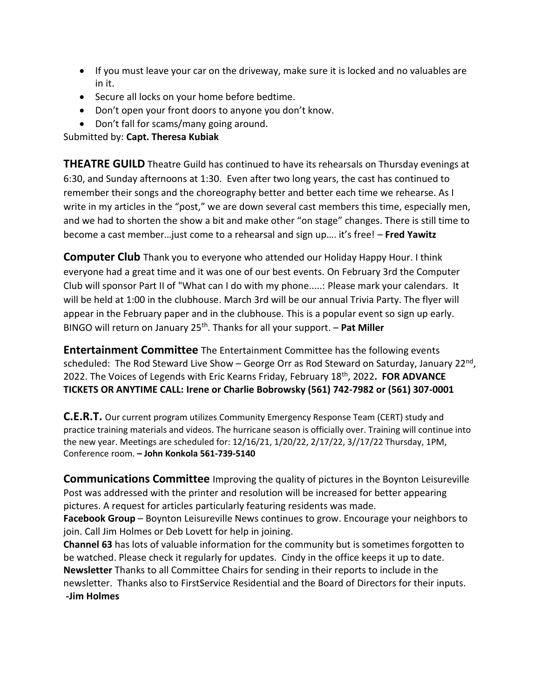- If you must leave your car on the driveway, make sure it is locked and no valuables are in it.
- Secure all locks on your home before bedtime.
- Don't open your front doors to anyone you don't know.
- Don't fall for scams/many going around.

Submitted by: **Capt. Theresa Kubiak**

**THEATRE GUILD** Theatre Guild has continued to have its rehearsals on Thursday evenings at 6:30, and Sunday afternoons at 1:30. Even after two long years, the cast has continued to remember their songs and the choreography better and better each time we rehearse. As I write in my articles in the "post," we are down several cast members this time, especially men, and we had to shorten the show a bit and make other "on stage" changes. There is still time to become a cast member…just come to a rehearsal and sign up…. it's free! – **Fred Yawitz**

**Computer Club** Thank you to everyone who attended our Holiday Happy Hour. I think everyone had a great time and it was one of our best events. On February 3rd the Computer Club will sponsor Part II of "What can I do with my phone.....: Please mark your calendars. It will be held at 1:00 in the clubhouse. March 3rd will be our annual Trivia Party. The flyer will appear in the February paper and in the clubhouse. This is a popular event so sign up early. BINGO will return on January 25<sup>th</sup>. Thanks for all your support. - Pat Miller

**Entertainment Committee** The Entertainment Committee has the following events scheduled: The Rod Steward Live Show – George Orr as Rod Steward on Saturday, January 22<sup>nd</sup>, 2022. The Voices of Legends with Eric Kearns Friday, February 18th, 2022**. FOR ADVANCE TICKETS OR ANYTIME CALL: Irene or Charlie Bobrowsky (561) 742-7982 or (561) 307-0001**

**C.E.R.T.** Our current program utilizes Community Emergency Response Team (CERT) study and practice training materials and videos. The hurricane season is officially over. Training will continue into the new year. Meetings are scheduled for: 12/16/21, 1/20/22, 2/17/22, 3//17/22 Thursday, 1PM, Conference room. **– John Konkola 561-739-5140**

**Communications Committee** Improving the quality of pictures in the Boynton Leisureville Post was addressed with the printer and resolution will be increased for better appearing pictures. A request for articles particularly featuring residents was made.

**Facebook Group** – Boynton Leisureville News continues to grow. Encourage your neighbors to join. Call Jim Holmes or Deb Lovett for help in joining.

**Channel 63** has lots of valuable information for the community but is sometimes forgotten to be watched. Please check it regularly for updates. Cindy in the office keeps it up to date. **Newsletter** Thanks to all Committee Chairs for sending in their reports to include in the newsletter. Thanks also to FirstService Residential and the Board of Directors for their inputs. **-Jim Holmes**